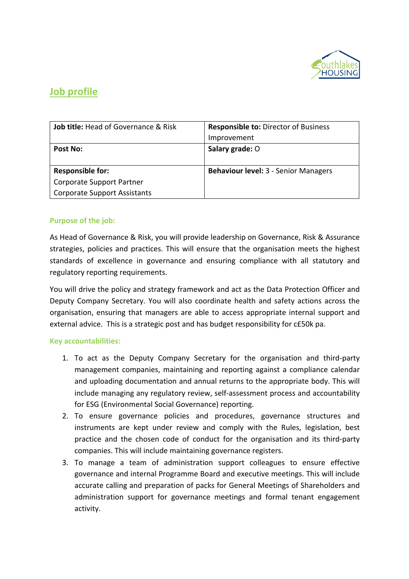

## **Job profile**

| <b>Job title: Head of Governance &amp; Risk</b> | <b>Responsible to: Director of Business</b> |  |
|-------------------------------------------------|---------------------------------------------|--|
|                                                 | Improvement                                 |  |
| Post No:                                        | Salary grade: O                             |  |
|                                                 |                                             |  |
| <b>Responsible for:</b>                         | <b>Behaviour level: 3 - Senior Managers</b> |  |
| Corporate Support Partner                       |                                             |  |
| <b>Corporate Support Assistants</b>             |                                             |  |

### **Purpose of the job:**

As Head of Governance & Risk, you will provide leadership on Governance, Risk & Assurance strategies, policies and practices. This will ensure that the organisation meets the highest standards of excellence in governance and ensuring compliance with all statutory and regulatory reporting requirements.

You will drive the policy and strategy framework and act as the Data Protection Officer and Deputy Company Secretary. You will also coordinate health and safety actions across the organisation, ensuring that managers are able to access appropriate internal support and external advice. This is a strategic post and has budget responsibility for c£50k pa.

#### **Key accountabilities:**

- 1. To act as the Deputy Company Secretary for the organisation and third-party management companies, maintaining and reporting against a compliance calendar and uploading documentation and annual returns to the appropriate body. This will include managing any regulatory review, self-assessment process and accountability for ESG (Environmental Social Governance) reporting.
- 2. To ensure governance policies and procedures, governance structures and instruments are kept under review and comply with the Rules, legislation, best practice and the chosen code of conduct for the organisation and its third-party companies. This will include maintaining governance registers.
- 3. To manage a team of administration support colleagues to ensure effective governance and internal Programme Board and executive meetings. This will include accurate calling and preparation of packs for General Meetings of Shareholders and administration support for governance meetings and formal tenant engagement activity.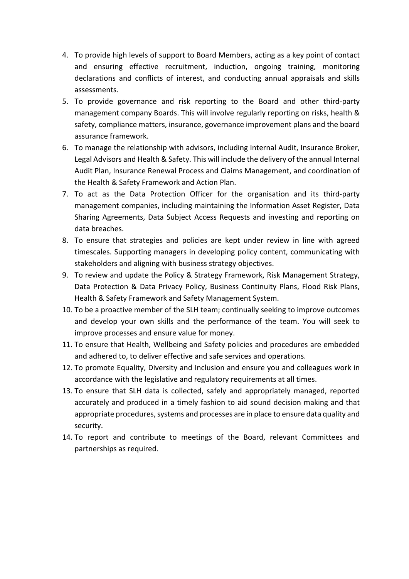- 4. To provide high levels of support to Board Members, acting as a key point of contact and ensuring effective recruitment, induction, ongoing training, monitoring declarations and conflicts of interest, and conducting annual appraisals and skills assessments.
- 5. To provide governance and risk reporting to the Board and other third-party management company Boards. This will involve regularly reporting on risks, health & safety, compliance matters, insurance, governance improvement plans and the board assurance framework.
- 6. To manage the relationship with advisors, including Internal Audit, Insurance Broker, Legal Advisors and Health & Safety. This will include the delivery of the annual Internal Audit Plan, Insurance Renewal Process and Claims Management, and coordination of the Health & Safety Framework and Action Plan.
- 7. To act as the Data Protection Officer for the organisation and its third-party management companies, including maintaining the Information Asset Register, Data Sharing Agreements, Data Subject Access Requests and investing and reporting on data breaches.
- 8. To ensure that strategies and policies are kept under review in line with agreed timescales. Supporting managers in developing policy content, communicating with stakeholders and aligning with business strategy objectives.
- 9. To review and update the Policy & Strategy Framework, Risk Management Strategy, Data Protection & Data Privacy Policy, Business Continuity Plans, Flood Risk Plans, Health & Safety Framework and Safety Management System.
- 10. To be a proactive member of the SLH team; continually seeking to improve outcomes and develop your own skills and the performance of the team. You will seek to improve processes and ensure value for money.
- 11. To ensure that Health, Wellbeing and Safety policies and procedures are embedded and adhered to, to deliver effective and safe services and operations.
- 12. To promote Equality, Diversity and Inclusion and ensure you and colleagues work in accordance with the legislative and regulatory requirements at all times.
- 13. To ensure that SLH data is collected, safely and appropriately managed, reported accurately and produced in a timely fashion to aid sound decision making and that appropriate procedures, systems and processes are in place to ensure data quality and security.
- 14. To report and contribute to meetings of the Board, relevant Committees and partnerships as required.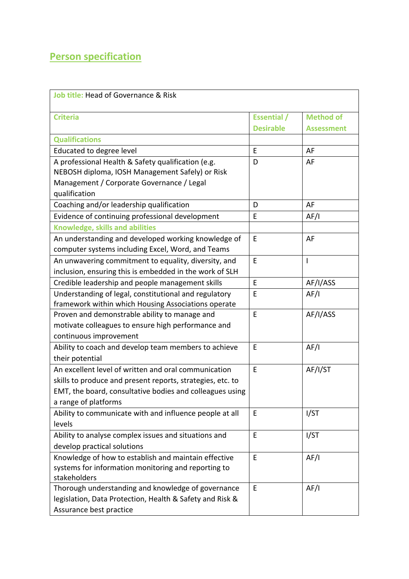# **Person specification**

| <b>Job title: Head of Governance &amp; Risk</b>            |                    |                   |  |  |
|------------------------------------------------------------|--------------------|-------------------|--|--|
| <b>Criteria</b>                                            | <b>Essential</b> / | <b>Method of</b>  |  |  |
|                                                            | <b>Desirable</b>   | <b>Assessment</b> |  |  |
| <b>Qualifications</b>                                      |                    |                   |  |  |
| Educated to degree level                                   | E                  | AF                |  |  |
| A professional Health & Safety qualification (e.g.         | D                  | AF                |  |  |
| NEBOSH diploma, IOSH Management Safely) or Risk            |                    |                   |  |  |
| Management / Corporate Governance / Legal                  |                    |                   |  |  |
| qualification                                              |                    |                   |  |  |
| Coaching and/or leadership qualification                   | D                  | AF                |  |  |
| Evidence of continuing professional development            | E                  | AF/I              |  |  |
| <b>Knowledge, skills and abilities</b>                     |                    |                   |  |  |
| An understanding and developed working knowledge of        | E                  | AF                |  |  |
| computer systems including Excel, Word, and Teams          |                    |                   |  |  |
| An unwavering commitment to equality, diversity, and       | E                  | I                 |  |  |
| inclusion, ensuring this is embedded in the work of SLH    |                    |                   |  |  |
| Credible leadership and people management skills           | E                  | AF/I/ASS          |  |  |
| Understanding of legal, constitutional and regulatory      | E                  | AF/I              |  |  |
| framework within which Housing Associations operate        |                    |                   |  |  |
| Proven and demonstrable ability to manage and              | E                  | AF/I/ASS          |  |  |
| motivate colleagues to ensure high performance and         |                    |                   |  |  |
| continuous improvement                                     |                    |                   |  |  |
| Ability to coach and develop team members to achieve       | E                  | AF/I              |  |  |
| their potential                                            |                    |                   |  |  |
| An excellent level of written and oral communication       | E                  | AF/I/ST           |  |  |
| skills to produce and present reports, strategies, etc. to |                    |                   |  |  |
| EMT, the board, consultative bodies and colleagues using   |                    |                   |  |  |
| a range of platforms                                       |                    |                   |  |  |
| Ability to communicate with and influence people at all    | E                  | I/ST              |  |  |
| levels                                                     |                    |                   |  |  |
| Ability to analyse complex issues and situations and       | E                  | I/ST              |  |  |
| develop practical solutions                                |                    |                   |  |  |
| Knowledge of how to establish and maintain effective       | E                  | AF/I              |  |  |
| systems for information monitoring and reporting to        |                    |                   |  |  |
| stakeholders                                               |                    |                   |  |  |
| Thorough understanding and knowledge of governance         | E                  | AF/I              |  |  |
| legislation, Data Protection, Health & Safety and Risk &   |                    |                   |  |  |
| Assurance best practice                                    |                    |                   |  |  |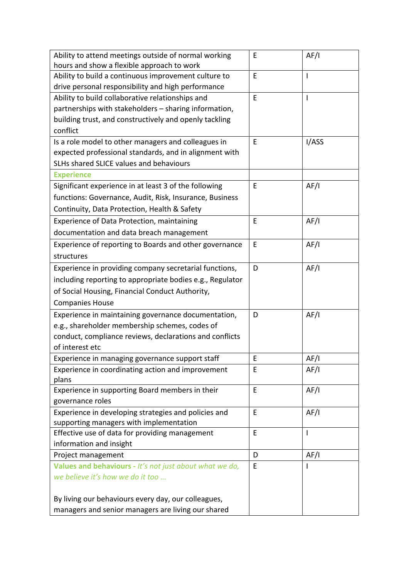| Ability to attend meetings outside of normal working                                            | E | AF/I           |
|-------------------------------------------------------------------------------------------------|---|----------------|
| hours and show a flexible approach to work                                                      |   |                |
| Ability to build a continuous improvement culture to                                            | E | T              |
| drive personal responsibility and high performance                                              |   |                |
| Ability to build collaborative relationships and                                                | E | $\mathsf{I}$   |
| partnerships with stakeholders - sharing information,                                           |   |                |
| building trust, and constructively and openly tackling                                          |   |                |
| conflict                                                                                        |   |                |
| Is a role model to other managers and colleagues in                                             | E | I/ASS          |
| expected professional standards, and in alignment with                                          |   |                |
| SLHs shared SLICE values and behaviours                                                         |   |                |
| <b>Experience</b>                                                                               |   |                |
| Significant experience in at least 3 of the following                                           | E | AF/I           |
| functions: Governance, Audit, Risk, Insurance, Business                                         |   |                |
| Continuity, Data Protection, Health & Safety                                                    |   |                |
| Experience of Data Protection, maintaining                                                      | E | AF/I           |
| documentation and data breach management                                                        |   |                |
| Experience of reporting to Boards and other governance                                          | E | AF/I           |
| structures                                                                                      |   |                |
| Experience in providing company secretarial functions,                                          | D | AF/I           |
| including reporting to appropriate bodies e.g., Regulator                                       |   |                |
| of Social Housing, Financial Conduct Authority,                                                 |   |                |
| <b>Companies House</b>                                                                          |   |                |
| Experience in maintaining governance documentation,                                             | D | AF/I           |
| e.g., shareholder membership schemes, codes of                                                  |   |                |
| conduct, compliance reviews, declarations and conflicts                                         |   |                |
| of interest etc                                                                                 |   |                |
| Experience in managing governance support staff                                                 | E | AF/I           |
| Experience in coordinating action and improvement                                               | E | AF/I           |
| plans                                                                                           |   |                |
| Experience in supporting Board members in their<br>governance roles                             | E | AF/I           |
|                                                                                                 | E |                |
| Experience in developing strategies and policies and<br>supporting managers with implementation |   | AF/I           |
| Effective use of data for providing management                                                  | E | $\overline{1}$ |
| information and insight                                                                         |   |                |
| Project management                                                                              | D | AF/I           |
| Values and behaviours - It's not just about what we do,                                         | E | L              |
| we believe it's how we do it too                                                                |   |                |
|                                                                                                 |   |                |
| By living our behaviours every day, our colleagues,                                             |   |                |
| managers and senior managers are living our shared                                              |   |                |